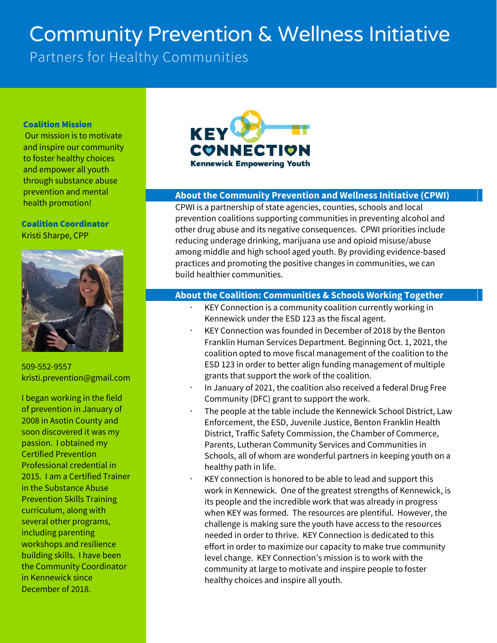# Community Prevention & Wellness Initiative

Partners for Healthy Communities

#### Coalition Mission

Our mission is to motivate and inspire our community to foster healthy choices and empower all youth through substance abuse prevention and mental health promotion!

#### Coalition Coordinator Kristi Sharpe, CPP



509-552-9557 kristi.prevention@gmail.com

I began working in the field of prevention in January of 2008 in Asotin County and soon discovered it was my passion. I obtained my Certified Prevention Professional credential in 2015. I am a Certified Trainer in the Substance Abuse Prevention Skills Training curriculum, along with several other programs, including parenting workshops and resilience building skills. I have been the Community Coordinator in Kennewick since December of 2018.



# **About the Community Prevention and Wellness Initiative (CPWI)**

CPWI is a partnership of state agencies, counties, schools and local prevention coalitions supporting communities in preventing alcohol and other drug abuse and its negative consequences. CPWI priorities include reducing underage drinking, marijuana use and opioid misuse/abuse among middle and high school aged youth. By providing evidence-based practices and promoting the positive changes in communities, we can build healthier communities.

## **About the Coalition: Communities & Schools Working Together**

- KEY Connection is a community coalition currently working in Kennewick under the ESD 123 as the fiscal agent.
- KEY Connection was founded in December of 2018 by the Benton Franklin Human Services Department. Beginning Oct. 1, 2021, the coalition opted to move fiscal management of the coalition to the ESD 123 in order to better align funding management of multiple grants that support the work of the coalition.
- · In January of 2021, the coalition also received a federal Drug Free Community (DFC) grant to support the work.
- The people at the table include the Kennewick School District, Law Enforcement, the ESD, Juvenile Justice, Benton Franklin Health District, Traffic Safety Commission, the Chamber of Commerce, Parents, Lutheran Community Services and Communities in Schools, all of whom are wonderful partners in keeping youth on a healthy path in life.
- KEY connection is honored to be able to lead and support this work in Kennewick. One of the greatest strengths of Kennewick, is its people and the incredible work that was already in progress when KEY was formed. The resources are plentiful. However, the challenge is making sure the youth have access to the resources needed in order to thrive. KEY Connection is dedicated to this effort in order to maximize our capacity to make true community level change. KEY Connection's mission is to work with the community at large to motivate and inspire people to foster healthy choices and inspire all youth.